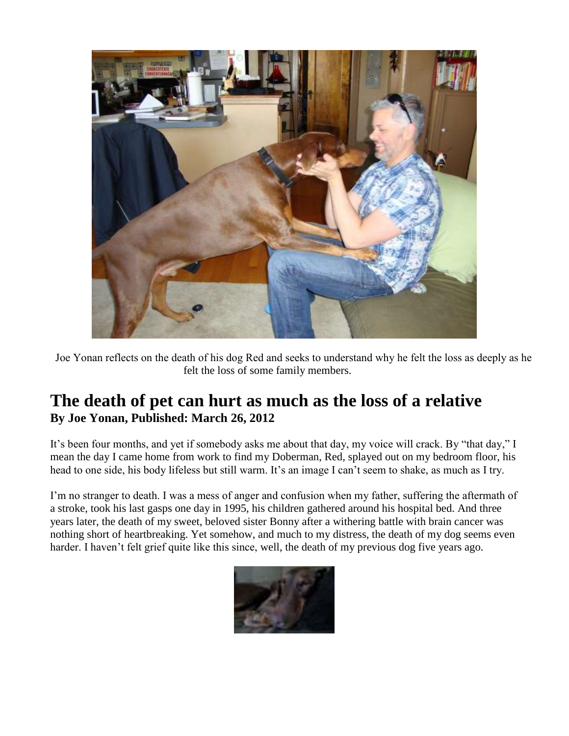

 Joe Yonan reflects on the death of his dog Red and seeks to understand why he felt the loss as deeply as he felt the loss of some family members.

# **The death of pet can hurt as much as the loss of a relative By Joe Yonan, Published: March 26, 2012**

It's been four months, and yet if somebody asks me about that day, my voice will crack. By "that day," I mean the day I came home from work to find my Doberman, Red, splayed out on my bedroom floor, his head to one side, his body lifeless but still warm. It's an image I can't seem to shake, as much as I try.

I'm no stranger to death. I was a mess of anger and confusion when my father, suffering the aftermath of a stroke, took his last gasps one day in 1995, his children gathered around his hospital bed. And three years later, the death of my sweet, beloved sister Bonny after a withering battle with brain cancer was nothing short of heartbreaking. Yet somehow, and much to my distress, the death of my dog seems even harder. I haven't felt grief quite like this since, well, the death of my previous dog five years ago.

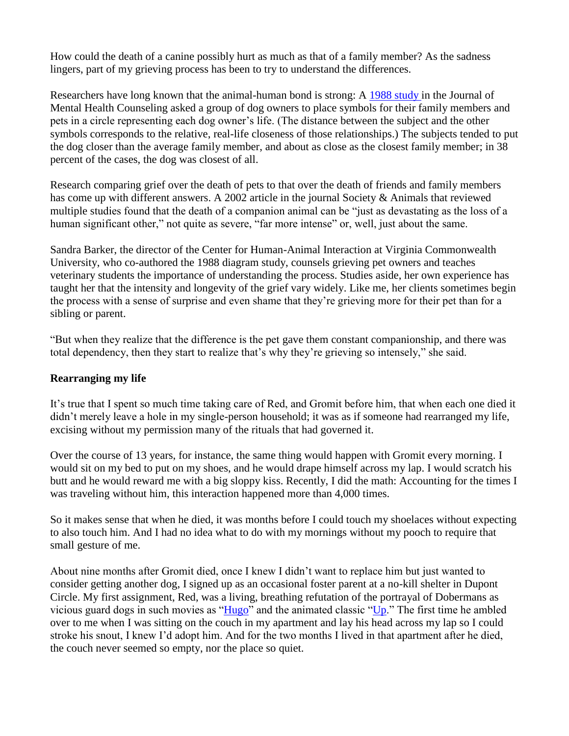How could the death of a canine possibly hurt as much as that of a family member? As the sadness lingers, part of my grieving process has been to try to understand the differences.

Researchers have long known that the animal-human bond is strong: A [1988 study i](http://www.chai.vcu.edu/research/sub/journalmental_humancanine_familyties.htm)n the Journal of Mental Health Counseling asked a group of dog owners to place symbols for their family members and pets in a circle representing each dog owner's life. (The distance between the subject and the other symbols corresponds to the relative, real-life closeness of those relationships.) The subjects tended to put the dog closer than the average family member, and about as close as the closest family member; in 38 percent of the cases, the dog was closest of all.

Research comparing grief over the death of pets to that over the death of friends and family members has come up with different answers. A 2002 article in the journal Society & Animals that reviewed multiple studies found that the death of a companion animal can be "just as devastating as the loss of a human significant other," not quite as severe, "far more intense" or, well, just about the same.

Sandra Barker, the director of the Center for Human-Animal Interaction at Virginia Commonwealth University, who co-authored the 1988 diagram study, counsels grieving pet owners and teaches veterinary students the importance of understanding the process. Studies aside, her own experience has taught her that the intensity and longevity of the grief vary widely. Like me, her clients sometimes begin the process with a sense of surprise and even shame that they're grieving more for their pet than for a sibling or parent.

"But when they realize that the difference is the pet gave them constant companionship, and there was total dependency, then they start to realize that's why they're grieving so intensely," she said.

## **Rearranging my life**

It's true that I spent so much time taking care of Red, and Gromit before him, that when each one died it didn't merely leave a hole in my single-person household; it was as if someone had rearranged my life, excising without my permission many of the rituals that had governed it.

Over the course of 13 years, for instance, the same thing would happen with Gromit every morning. I would sit on my bed to put on my shoes, and he would drape himself across my lap. I would scratch his butt and he would reward me with a big sloppy kiss. Recently, I did the math: Accounting for the times I was traveling without him, this interaction happened more than 4,000 times.

So it makes sense that when he died, it was months before I could touch my shoelaces without expecting to also touch him. And I had no idea what to do with my mornings without my pooch to require that small gesture of me.

About nine months after Gromit died, once I knew I didn't want to replace him but just wanted to consider getting another dog, I signed up as an occasional foster parent at a no-kill shelter in Dupont Circle. My first assignment, Red, was a living, breathing refutation of the portrayal of Dobermans as vicious guard dogs in such movies as ["Hugo"](http://www.amazon.com/gp/product/B003Y5H5H4?ie=UTF8&tag=washingtonpost-20&linkCode=xm2&camp=1789&creativeASIN=B003Y5H5H4) and the animated classic ["Up.](http://www.amazon.com/gp/product/B001KVZ6FW?ie=UTF8&tag=washingtonpost-20&linkCode=xm2&camp=1789&creativeASIN=B001KVZ6FW)" The first time he ambled over to me when I was sitting on the couch in my apartment and lay his head across my lap so I could stroke his snout, I knew I'd adopt him. And for the two months I lived in that apartment after he died, the couch never seemed so empty, nor the place so quiet.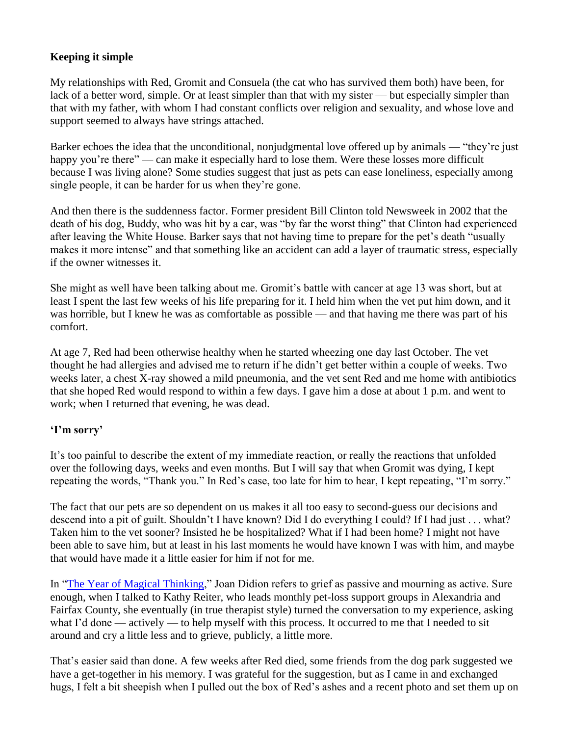# **Keeping it simple**

My relationships with Red, Gromit and Consuela (the cat who has survived them both) have been, for lack of a better word, simple. Or at least simpler than that with my sister — but especially simpler than that with my father, with whom I had constant conflicts over religion and sexuality, and whose love and support seemed to always have strings attached.

Barker echoes the idea that the unconditional, nonjudgmental love offered up by animals — "they're just happy you're there" — can make it especially hard to lose them. Were these losses more difficult because I was living alone? Some studies suggest that just as pets can ease loneliness, especially among single people, it can be harder for us when they're gone.

And then there is the suddenness factor. Former president Bill Clinton told Newsweek in 2002 that the death of his dog, Buddy, who was hit by a car, was "by far the worst thing" that Clinton had experienced after leaving the White House. Barker says that not having time to prepare for the pet's death "usually makes it more intense" and that something like an accident can add a layer of traumatic stress, especially if the owner witnesses it.

She might as well have been talking about me. Gromit's battle with cancer at age 13 was short, but at least I spent the last few weeks of his life preparing for it. I held him when the vet put him down, and it was horrible, but I knew he was as comfortable as possible — and that having me there was part of his comfort.

At age 7, Red had been otherwise healthy when he started wheezing one day last October. The vet thought he had allergies and advised me to return if he didn't get better within a couple of weeks. Two weeks later, a chest X-ray showed a mild pneumonia, and the vet sent Red and me home with antibiotics that she hoped Red would respond to within a few days. I gave him a dose at about 1 p.m. and went to work; when I returned that evening, he was dead.

## **'I'm sorry'**

It's too painful to describe the extent of my immediate reaction, or really the reactions that unfolded over the following days, weeks and even months. But I will say that when Gromit was dying, I kept repeating the words, "Thank you." In Red's case, too late for him to hear, I kept repeating, "I'm sorry."

The fact that our pets are so dependent on us makes it all too easy to second-guess our decisions and descend into a pit of guilt. Shouldn't I have known? Did I do everything I could? If I had just . . . what? Taken him to the vet sooner? Insisted he be hospitalized? What if I had been home? I might not have been able to save him, but at least in his last moments he would have known I was with him, and maybe that would have made it a little easier for him if not for me.

In ["The Year of Magical Thinking,](http://www.amazon.com/gp/product/1400078431?ie=UTF8&tag=washingtonpost-20&linkCode=xm2&camp=1789&creativeASIN=1400078431)" Joan Didion refers to grief as passive and mourning as active. Sure enough, when I talked to Kathy Reiter, who leads monthly pet-loss support groups in Alexandria and Fairfax County, she eventually (in true therapist style) turned the conversation to my experience, asking what I'd done — actively — to help myself with this process. It occurred to me that I needed to sit around and cry a little less and to grieve, publicly, a little more.

That's easier said than done. A few weeks after Red died, some friends from the dog park suggested we have a get-together in his memory. I was grateful for the suggestion, but as I came in and exchanged hugs, I felt a bit sheepish when I pulled out the box of Red's ashes and a recent photo and set them up on